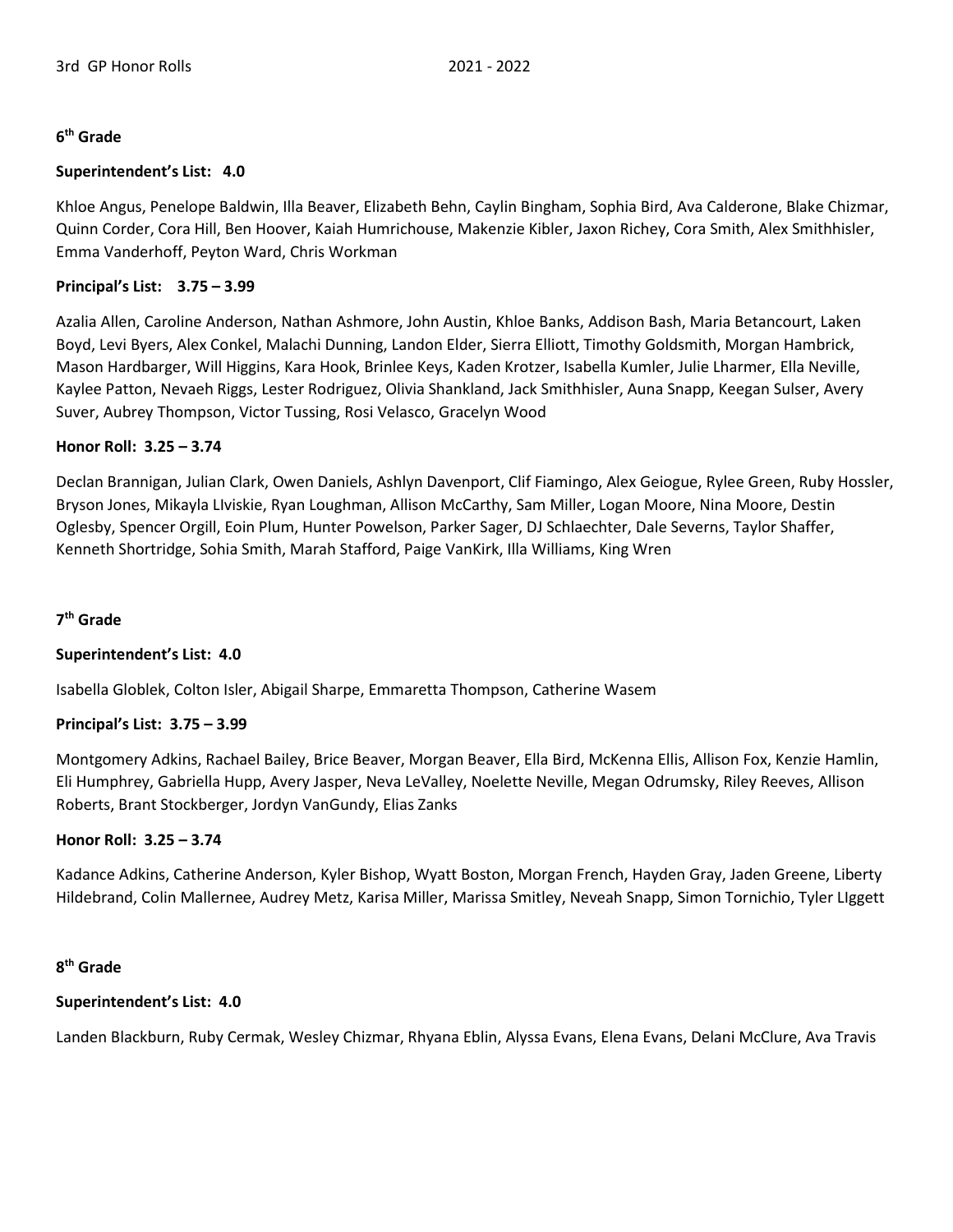## **6 th Grade**

## **Superintendent's List: 4.0**

Khloe Angus, Penelope Baldwin, Illa Beaver, Elizabeth Behn, Caylin Bingham, Sophia Bird, Ava Calderone, Blake Chizmar, Quinn Corder, Cora Hill, Ben Hoover, Kaiah Humrichouse, Makenzie Kibler, Jaxon Richey, Cora Smith, Alex Smithhisler, Emma Vanderhoff, Peyton Ward, Chris Workman

# **Principal's List: 3.75 – 3.99**

Azalia Allen, Caroline Anderson, Nathan Ashmore, John Austin, Khloe Banks, Addison Bash, Maria Betancourt, Laken Boyd, Levi Byers, Alex Conkel, Malachi Dunning, Landon Elder, Sierra Elliott, Timothy Goldsmith, Morgan Hambrick, Mason Hardbarger, Will Higgins, Kara Hook, Brinlee Keys, Kaden Krotzer, Isabella Kumler, Julie Lharmer, Ella Neville, Kaylee Patton, Nevaeh Riggs, Lester Rodriguez, Olivia Shankland, Jack Smithhisler, Auna Snapp, Keegan Sulser, Avery Suver, Aubrey Thompson, Victor Tussing, Rosi Velasco, Gracelyn Wood

## **Honor Roll: 3.25 – 3.74**

Declan Brannigan, Julian Clark, Owen Daniels, Ashlyn Davenport, Clif Fiamingo, Alex Geiogue, Rylee Green, Ruby Hossler, Bryson Jones, Mikayla LIviskie, Ryan Loughman, Allison McCarthy, Sam Miller, Logan Moore, Nina Moore, Destin Oglesby, Spencer Orgill, Eoin Plum, Hunter Powelson, Parker Sager, DJ Schlaechter, Dale Severns, Taylor Shaffer, Kenneth Shortridge, Sohia Smith, Marah Stafford, Paige VanKirk, Illa Williams, King Wren

# **7 th Grade**

#### **Superintendent's List: 4.0**

Isabella Globlek, Colton Isler, Abigail Sharpe, Emmaretta Thompson, Catherine Wasem

#### **Principal's List: 3.75 – 3.99**

Montgomery Adkins, Rachael Bailey, Brice Beaver, Morgan Beaver, Ella Bird, McKenna Ellis, Allison Fox, Kenzie Hamlin, Eli Humphrey, Gabriella Hupp, Avery Jasper, Neva LeValley, Noelette Neville, Megan Odrumsky, Riley Reeves, Allison Roberts, Brant Stockberger, Jordyn VanGundy, Elias Zanks

#### **Honor Roll: 3.25 – 3.74**

Kadance Adkins, Catherine Anderson, Kyler Bishop, Wyatt Boston, Morgan French, Hayden Gray, Jaden Greene, Liberty Hildebrand, Colin Mallernee, Audrey Metz, Karisa Miller, Marissa Smitley, Neveah Snapp, Simon Tornichio, Tyler LIggett

## **8 th Grade**

#### **Superintendent's List: 4.0**

Landen Blackburn, Ruby Cermak, Wesley Chizmar, Rhyana Eblin, Alyssa Evans, Elena Evans, Delani McClure, Ava Travis